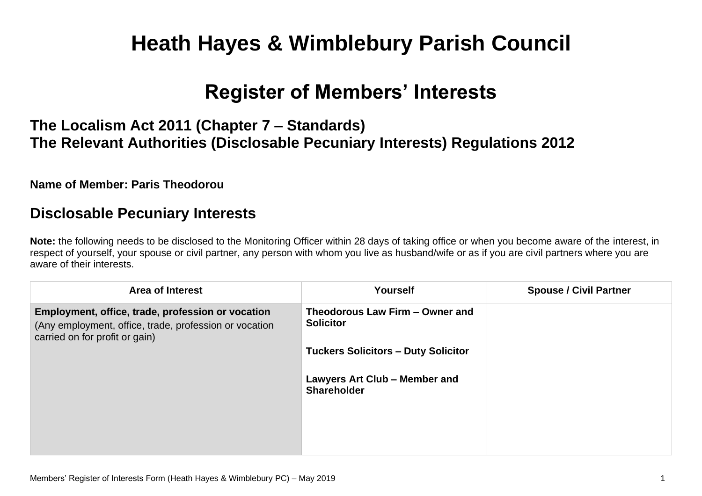# **Heath Hayes & Wimblebury Parish Council**

## **Register of Members' Interests**

## **The Localism Act 2011 (Chapter 7 – Standards) The Relevant Authorities (Disclosable Pecuniary Interests) Regulations 2012**

#### **Name of Member: Paris Theodorou**

### **Disclosable Pecuniary Interests**

**Note:** the following needs to be disclosed to the Monitoring Officer within 28 days of taking office or when you become aware of the interest, in respect of yourself, your spouse or civil partner, any person with whom you live as husband/wife or as if you are civil partners where you are aware of their interests.

| <b>Area of Interest</b>                                                                                                                       | <b>Yourself</b>                                     | <b>Spouse / Civil Partner</b> |
|-----------------------------------------------------------------------------------------------------------------------------------------------|-----------------------------------------------------|-------------------------------|
| Employment, office, trade, profession or vocation<br>(Any employment, office, trade, profession or vocation<br>carried on for profit or gain) | Theodorous Law Firm - Owner and<br><b>Solicitor</b> |                               |
|                                                                                                                                               | <b>Tuckers Solicitors - Duty Solicitor</b>          |                               |
|                                                                                                                                               | Lawyers Art Club - Member and<br><b>Shareholder</b> |                               |
|                                                                                                                                               |                                                     |                               |
|                                                                                                                                               |                                                     |                               |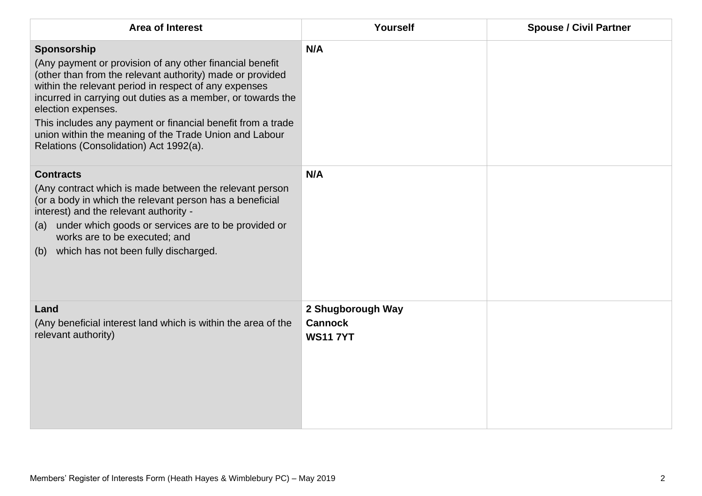| <b>Area of Interest</b>                                                                                                                                                                                                                                                                                                                                                                                                                               | Yourself                                               | <b>Spouse / Civil Partner</b> |
|-------------------------------------------------------------------------------------------------------------------------------------------------------------------------------------------------------------------------------------------------------------------------------------------------------------------------------------------------------------------------------------------------------------------------------------------------------|--------------------------------------------------------|-------------------------------|
| Sponsorship<br>(Any payment or provision of any other financial benefit<br>(other than from the relevant authority) made or provided<br>within the relevant period in respect of any expenses<br>incurred in carrying out duties as a member, or towards the<br>election expenses.<br>This includes any payment or financial benefit from a trade<br>union within the meaning of the Trade Union and Labour<br>Relations (Consolidation) Act 1992(a). | N/A                                                    |                               |
| <b>Contracts</b><br>(Any contract which is made between the relevant person<br>(or a body in which the relevant person has a beneficial<br>interest) and the relevant authority -<br>(a) under which goods or services are to be provided or<br>works are to be executed; and<br>which has not been fully discharged.<br>(b)                                                                                                                          | N/A                                                    |                               |
| Land<br>(Any beneficial interest land which is within the area of the<br>relevant authority)                                                                                                                                                                                                                                                                                                                                                          | 2 Shugborough Way<br><b>Cannock</b><br><b>WS11 7YT</b> |                               |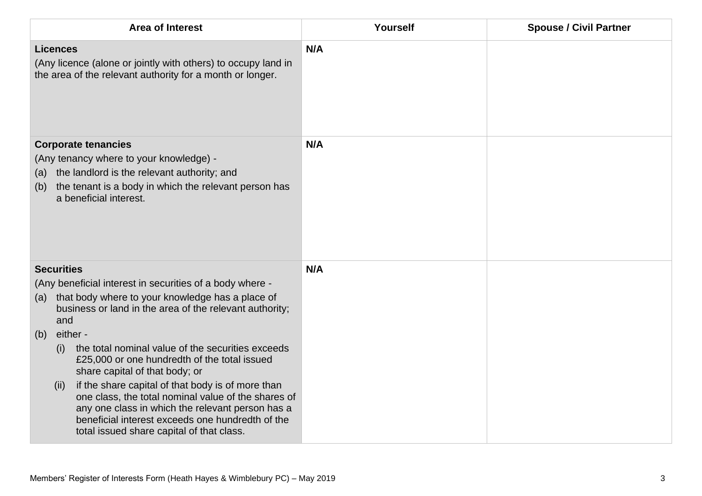| <b>Area of Interest</b>                                                                                                                                                                                                                                                                                                                                                                                                                                                                                                                                                                                 | Yourself | <b>Spouse / Civil Partner</b> |
|---------------------------------------------------------------------------------------------------------------------------------------------------------------------------------------------------------------------------------------------------------------------------------------------------------------------------------------------------------------------------------------------------------------------------------------------------------------------------------------------------------------------------------------------------------------------------------------------------------|----------|-------------------------------|
| <b>Licences</b><br>(Any licence (alone or jointly with others) to occupy land in<br>the area of the relevant authority for a month or longer.                                                                                                                                                                                                                                                                                                                                                                                                                                                           | N/A      |                               |
| <b>Corporate tenancies</b><br>(Any tenancy where to your knowledge) -<br>the landlord is the relevant authority; and<br>(a)<br>the tenant is a body in which the relevant person has<br>(b)<br>a beneficial interest.                                                                                                                                                                                                                                                                                                                                                                                   | N/A      |                               |
| <b>Securities</b><br>(Any beneficial interest in securities of a body where -<br>that body where to your knowledge has a place of<br>(a)<br>business or land in the area of the relevant authority;<br>and<br>either -<br>(b)<br>the total nominal value of the securities exceeds<br>(i)<br>£25,000 or one hundredth of the total issued<br>share capital of that body; or<br>if the share capital of that body is of more than<br>(ii)<br>one class, the total nominal value of the shares of<br>any one class in which the relevant person has a<br>beneficial interest exceeds one hundredth of the | N/A      |                               |